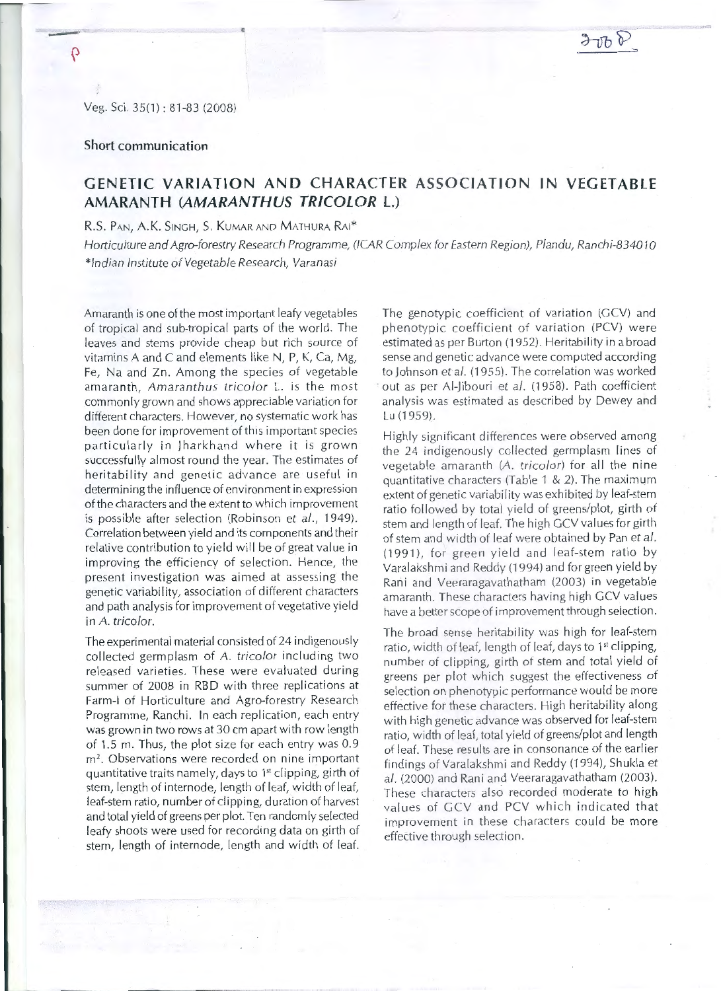## **Short communication**

## **GENETIC VARIATION AND CHARACTER ASSOCIATION IN VEGETABLE AMARANTH (AMARANTHUS TRICOLOR L.)**

R.S. PAN, A.K. SINGH, S. KUMAR AND MATHURA RAI\*

Horticulture and Agro-forestry Research Programme, (!CAR Complex for Eastern Region), Plandu, Ranchi-834010 \*Indian Institute of Vegetable Research, Varanasi

Amaranth is one of the most important leafy vegetables of tropical and sub-tropical parts of the world. The leaves and stems provide cheap but rich source of vitamins A and C and elements like N, P, K, Ca, Mg, Fe, Na and Zn. Among the species of vegetable amaranth, Amaranthus tricolor L. is the most commonly grown and shows appreciable variation for different characters. However, no systematic work has been done for improvement of this important species particularly in Iharkhand where it is grown successfully almost round the year. The estimates of heritability and genetic advance are useful in determining the influence of environment in expression of the characters and the extent to which improvement is possible after selection (Robinson et al., 1949). Correlation between yield and its components and their relative contribution to yield will be of great value in improving the efficiency of selection. Hence, the p resent investigation was aimed at assessing the genetic variability, association of different characters and path analysis for improvement of vegetative yield in *A.* tricolor.

The experimental material consisted of 24 indigenously collected germplasm of A. tricolor including two released varieties. These were evaluated during summer of 2008 in RBD with three replications at Farm-Lof Horticulture and Agro-forestry Research Programme, Ranchi. In each replication, each entry was grown in two rows at 30 cm apart with row length of 1.5 m. Thus, the plot size for each entry was 0.9 m<sup>2</sup>. Observations were recorded on nine important quantitative traits namely, days to 1<sup>st</sup> clipping, girth of stem, length of internode, length of leaf, width of leaf, leaf-stem ratio, number of clipping, duration of harvest and total yield of greens per plot. Ten randomly selected leafy shoots were used for recording data on girth of stem, length of internode, length and width of leaf. The genotypic coefficient of variation (GCV) and phenotypic coefficient of variation (PCV) were estimated as per Burton (1952). Heritability in a broad sense and genetic advance were computed according to Johnson et al. (1955). The correlation was worked out as per Al-Jibouri et al. (1958). Path coefficient analysis was estimated as described by Dewey and Lu (1959).

Highly significant differences were observed among the 24 indigenously collected germplasm lines of vegetable amaranth (A. tricolor) for all the nine quantitative characters (Table 1 & 2). The maximum extent of genetic variability was exhibited by leaf-stem ratio followed by total yield of greens/plot, girth of stem and length of leaf. The high GCV values for girth of stem and width of leaf were obtained by Pan et al. (1991), for green yield and leaf-stem ratio by Varalakshmi and Reddy (1994) and for green yield by Rani and Veeraragavathatham (2003) in vegetable amaranth. These characters having high GCV values have a better scope of improvement through selection.

The broad sense heritability was high for leaf-stem ratio, width of leaf, length of leaf, days to 1<sup>st</sup> clipping. number of clipping, girth of stem and total yield of greens per plot which suggest the effectiveness of selection on phenotypic performance would be more effective for these characters. High heritability along with high genetic advance was observed for leaf-stem ratio, width of leaf, total vield of greens/plot and length of leaf. These results are in consonance of the earlier findings of Varalakshmi and Reddy (1994), Shukla et al. (2000) and Rani and Veeraragavathatham (2003). These characters also recorded moderate to high values of GCV and PCV which indicated that improvement in these characters could be more effective through selection.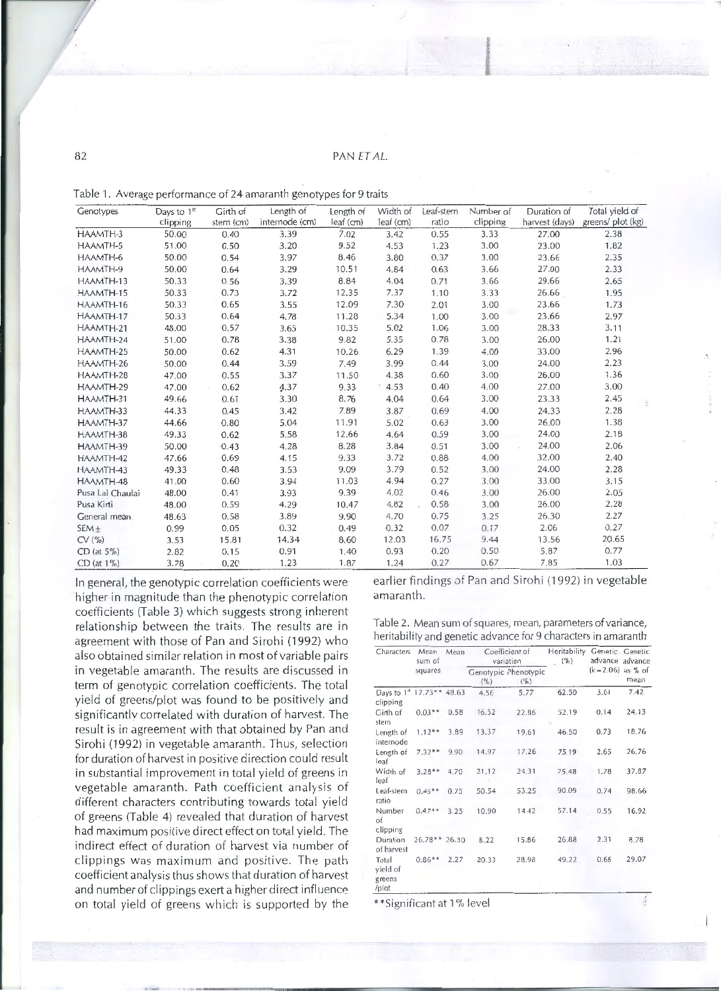## 82 PAN ET AL.

| Genotypes        | Days to 1st | Girth of  | Length of      | Length of | Width of  | Leaf-stem | Number of | Duration of    | Total yield of    |
|------------------|-------------|-----------|----------------|-----------|-----------|-----------|-----------|----------------|-------------------|
|                  | clipping    | stem (cm) | internode (cm) | leaf (cm) | leaf (cm) | ratio     | clipping  | harvest (days) | greens/ plot (kg) |
| HAAMTH-3         | 50.00       | 0.40      | 3.39           | 7.02      | 3.42      | 0.55      | 3.33      | 27.00          | 2.38              |
| HAAMTH-5         | 51.00       | 0.50      | 3.20           | 9.52      | 4.53      | 1.23      | 3.00      | 23.00          | 1.82              |
| HAAMTH-6         | 50.00       | 0.54      | 3.97           | 8.46      | 3.80      | 0.37      | 3.00      | 23.66          | 2.35              |
| HAAMTH-9         | 50.00       | 0.64      | 3.29           | 10.51     | 4.84      | 0.63      | 3.66      | 27.00          | 2.33              |
| HAAMTH-13        | 50.33       | 0.56      | 3.39           | 8.84      | 4.04      | 0.71      | 3.66      | 29.66          | 2.65              |
| HAAMTH-15        | 50.33       | 0.73      | 3.72           | 12.35     | 7.37      | 1.10      | 3.33      | 26.66          | 1.95              |
| HAAMTH-16        | 50.33       | 0.65      | 3.55           | 12.09     | 7.30      | 2.01      | 3.00      | 23.66          | 1.73              |
| HAAMTH-17        | 50.33       | 0.64      | 4.78           | 11.28     | 5.34      | 1.00      | 3.00      | 23.66          | 2.97              |
| HAAMTH-21        | 48.00       | 0.57      | 3.65           | 10.35     | 5.02      | 1.06      | 3.00      | 28.33          | 3.11              |
| HAAMTH-24        | 51.00       | 0.78      | 3.38           | 9.82      | 5.35      | 0.78      | 3.00      | 26.00          | 1.21              |
| HAAMTH-25        | 50.00       | 0.62      | 4.31           | 10.26     | 6.29      | 1.39      | 4.00      | 33.00          | 2.96              |
| HAAMTH-26        | 50.00       | 0.44      | 3.59           | 7.49      | 3.99      | 0.44      | 3.00      | 24.00          | 2.23              |
| HAAMTH-28        | 47.00       | 0.55      | 3.37           | 11.50     | 4.38      | 0.60      | 3.00      | 26.00          | 1.36              |
| HAAMTH-29        | 47.00       | 0.62      | 4.37           | 9.33      | 4.53      | 0.40      | 4.00      | 27.00          | 3.00              |
| HAAMTH-31        | 49.66       | 0.61      | 3.30           | 8.76      | 4.04      | 0.64      | 3.00      | 23.33          | 2.45              |
| HAAMTH-33        | 44.33       | 0.45      | 3.42           | 7.89      | 3.87      | 0.69      | 4.00      | 24.33          | 2.28              |
| HAAMTH-37        | 44.66       | 0.80      | 5.04           | 11.91     | 5.02      | 0.63      | 3.00      | 26.00          | 1.38              |
| HAAMTH-38        | 49.33       | 0.62      | 5.58           | 12.66     | 4.64      | 0.59      | 3.00      | 24.00          | 2.18              |
| HAAMTH-39        | 50.00       | 0.43      | 4.28           | 8.28      | 3.84      | 0.51      | 3.00      | 24.00          | 2.06              |
| HAAMTH-42        | 47.66       | 0.69      | 4.15           | 9.33      | 3.72      | 0.88      | 4.00      | 32.00          | 2.40              |
| HAAMTH-43        | 49.33       | 0.48      | 3.53           | 9.09      | 3.79      | 0.52      | 3.00      | 24.00          | 2.28              |
| HAAMTH-48        | 41.00       | 0.60      | 3.94           | 11.03     | 4.94      | 0.27      | 3.00      | 33.00          | 3.15              |
| Pusa Lal Chaulai | 48.00       | 0.41      | 3.93           | 9.39      | 4.02      | 0.46      | 3.00      | 26.00          | 2.05              |
| Pusa Kirti       | 48.00       | 0.59      | 4.29           | 10.47     | 4.82      | 0.58      | 3.00      | 26.00          | 2.28              |
| General mean     | 48.63       | 0.58      | 3.89           | 9.90      | 4.70      | 0.75      | 3.25      | 26.30          | 2.27              |
| $SEM+$           | 0.99        | 0.05      | 0.32           | 0.49      | 0.32      | 0.07      | 0.17      | 2.06           | 0.27              |
| CV(% )           | 3.53        | 15.81     | 14.34          | 8.60      | 12.03     | 16.75     | 9.44      | 13.56          | 20.65             |
| $CD$ (at $5\%$ ) | 2.82        | 0.15      | 0.91           | 1.40      | 0.93      | 0.20      | 0.50      | 5.87           | 0.77              |
| $CD$ (at $1\%$ ) | 3.78        | 0.20      | 1.23           | 1.87      | 1.24      | 0.27      | 0.67      | 7.85           | 1.03              |

Table 1. Average performance of 24 amaranth genotypes for 9 traits

In general, the genotypic correlation coefficients were higher in magnitude than the phenotypic correlation coefficients (Table 3) which suggests strong inherent relationship between the traits. The results are in agreement with those of Pan and Sirohi (1992) who also obtained similar relation in most of variable pairs in vegetable amaranth. The results are discussed in term of genotypic correlation coefficients. The total yield of greens/plot was found to be positively and significantly correlated with duration of harvest. The result is in agreement with that obtained by Pan and Sirohi (1992) in vegetable amaranth. Thus, selection for duration of harvest in positive direction could result in substantial improvement in total vield of greens in vegetable amaranth. Path coefficient analysis of different characters contributing towards total yield of greens (Table 4) revealed that duration of harvest had maximum positive direct effect on total yield. The indirect effect of duration of harvest via number of clippings was maximum and positive. The path coefficient analysis thus shows that duration of harvest and number of clippings exert a higher direct influence on total yield of greens which is supported by the earlier findings of Pan and Sirohi (1992) in vegetable amaranth.

Table 2. Mean sum of squares, mean, parameters of variance, heritability and genetic advance for 9 characters in amaranth

| Characters                                        | Mean<br>sum of | Mean |       | Coefficient of<br>variation  | Heritability<br>$(\%)$ |              | Genetic Genetic<br>advance advance |  |
|---------------------------------------------------|----------------|------|-------|------------------------------|------------------------|--------------|------------------------------------|--|
|                                                   | squares        |      | (%)   | Genotypic Phenotypic<br>(% ) |                        | $(k = 2.06)$ | as % of<br>mean                    |  |
| Days to 1 <sup>st</sup> 17.73** 48.63<br>clipping |                |      | 4.56  | 5.77                         | 62.50                  | 3.61         | 7.42                               |  |
| Girth of<br>stem                                  | $0.03**$       | 0.58 | 16.52 | 22.86                        | 52.19                  | 0.14         | 24.13                              |  |
| Length of<br>internode                            | $1,12**$       | 3.89 | 13.37 | 19.61                        | 46.50                  | 0.73         | 18.76                              |  |
| Length of<br>leaf                                 | $7.32**$       | 9.90 | 14.97 | 17.26                        | 75.19                  | 2.65         | 26.76                              |  |
| Width of<br>leaf                                  | $3.28**$       | 4.70 | 21.12 | 24.31                        | 75.48                  | 1.78         | 37.87                              |  |
| Leaf-stem<br>ratio                                | $0.45**$       | 0.75 | 50.54 | 53.25                        | 90.09                  | 0.74         | 98.66                              |  |
| Number<br>$\circ$ f<br>clipping                   | $0.47**$       | 3.25 | 10.90 | 14.42                        | 57.14                  | 0.55         | 16.92                              |  |
| Duration<br>of harvest                            | $26.78**26.30$ |      | 8.22  | 15.86                        | 26.88                  | 2.31         | 8.78                               |  |
| Total<br>yield of<br>greens<br>$/$ plot           | $0.86**$       | 2.27 | 20.33 | 28.98                        | 49.22                  | 0.66         | 29.07                              |  |

\*\*Significant at 1 % level